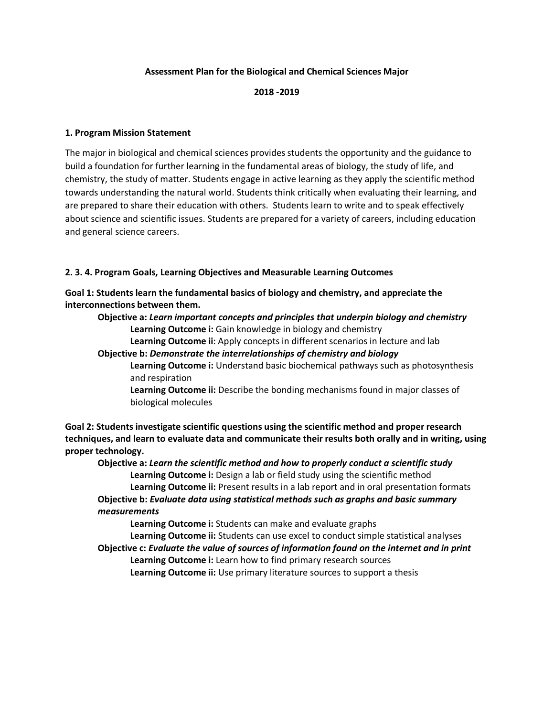## **Assessment Plan for the Biological and Chemical Sciences Major**

#### **2018 -2019**

#### **1. Program Mission Statement**

The major in biological and chemical sciences provides students the opportunity and the guidance to build a foundation for further learning in the fundamental areas of biology, the study of life, and chemistry, the study of matter. Students engage in active learning as they apply the scientific method towards understanding the natural world. Students think critically when evaluating their learning, and are prepared to share their education with others. Students learn to write and to speak effectively about science and scientific issues. Students are prepared for a variety of careers, including education and general science careers.

#### **2. 3. 4. Program Goals, Learning Objectives and Measurable Learning Outcomes**

**Goal 1: Students learn the fundamental basics of biology and chemistry, and appreciate the interconnections between them.**

**Objective a:** *Learn important concepts and principles that underpin biology and chemistry* **Learning Outcome i:** Gain knowledge in biology and chemistry

**Learning Outcome ii**: Apply concepts in different scenarios in lecture and lab

**Objective b:** *Demonstrate the interrelationships of chemistry and biology*

**Learning Outcome i:** Understand basic biochemical pathways such as photosynthesis and respiration

**Learning Outcome ii:** Describe the bonding mechanisms found in major classes of biological molecules

**Goal 2: Students investigate scientific questions using the scientific method and proper research techniques, and learn to evaluate data and communicate their results both orally and in writing, using proper technology.**

**Objective a:** *Learn the scientific method and how to properly conduct a scientific study* **Learning Outcome i:** Design a lab or field study using the scientific method **Learning Outcome ii:** Present results in a lab report and in oral presentation formats **Objective b:** *Evaluate data using statistical methods such as graphs and basic summary measurements*

**Learning Outcome i:** Students can make and evaluate graphs

**Learning Outcome ii:** Students can use excel to conduct simple statistical analyses **Objective c:** *Evaluate the value of sources of information found on the internet and in print* **Learning Outcome i:** Learn how to find primary research sources **Learning Outcome ii:** Use primary literature sources to support a thesis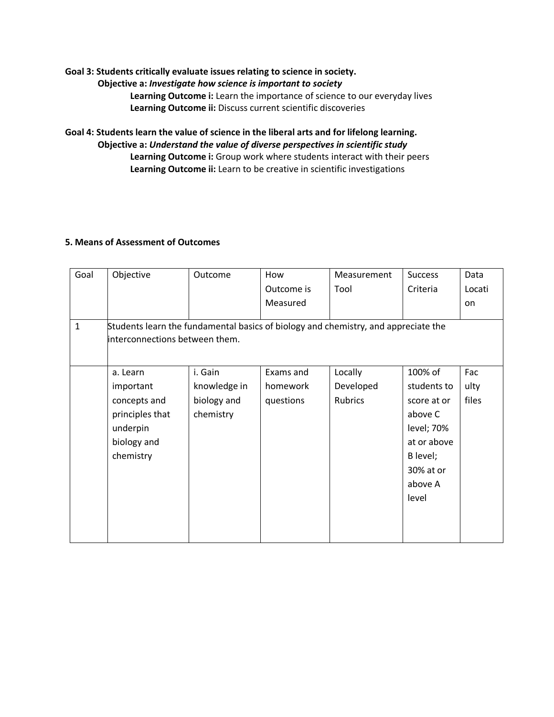# **Goal 3: Students critically evaluate issues relating to science in society. Objective a:** *Investigate how science is important to society* **Learning Outcome i:** Learn the importance of science to our everyday lives **Learning Outcome ii:** Discuss current scientific discoveries

**Goal 4: Students learn the value of science in the liberal arts and for lifelong learning. Objective a:** *Understand the value of diverse perspectives in scientific study* **Learning Outcome i:** Group work where students interact with their peers **Learning Outcome ii:** Learn to be creative in scientific investigations

# **5. Means of Assessment of Outcomes**

| Goal        | Objective                                                                                                            | Outcome      | How        | Measurement | <b>Success</b> | Data      |
|-------------|----------------------------------------------------------------------------------------------------------------------|--------------|------------|-------------|----------------|-----------|
|             |                                                                                                                      |              | Outcome is | Tool        | Criteria       | Locati    |
|             |                                                                                                                      |              | Measured   |             |                | <b>on</b> |
| $\mathbf 1$ |                                                                                                                      |              |            |             |                |           |
|             | Students learn the fundamental basics of biology and chemistry, and appreciate the<br>interconnections between them. |              |            |             |                |           |
|             |                                                                                                                      |              |            |             |                |           |
|             |                                                                                                                      |              |            |             |                |           |
|             | a. Learn                                                                                                             | i. Gain      | Exams and  | Locally     | 100% of        | Fac       |
|             | important                                                                                                            | knowledge in | homework   | Developed   | students to    | ulty      |
|             | concepts and                                                                                                         | biology and  | questions  | Rubrics     | score at or    | files     |
|             | principles that                                                                                                      | chemistry    |            |             | above C        |           |
|             | underpin                                                                                                             |              |            |             | level; 70%     |           |
|             | biology and                                                                                                          |              |            |             | at or above    |           |
|             | chemistry                                                                                                            |              |            |             | B level;       |           |
|             |                                                                                                                      |              |            |             | 30% at or      |           |
|             |                                                                                                                      |              |            |             | above A        |           |
|             |                                                                                                                      |              |            |             | level          |           |
|             |                                                                                                                      |              |            |             |                |           |
|             |                                                                                                                      |              |            |             |                |           |
|             |                                                                                                                      |              |            |             |                |           |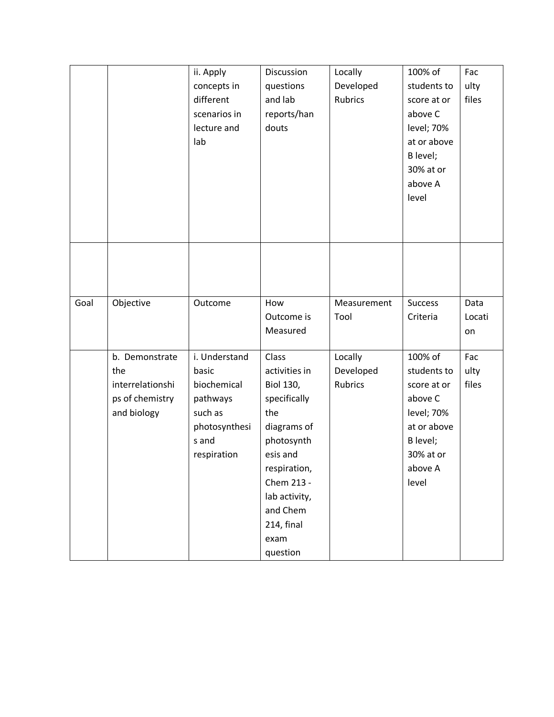|      |                                                                             | ii. Apply<br>concepts in<br>different<br>scenarios in<br>lecture and<br>lab                           | Discussion<br>questions<br>and lab<br>reports/han<br>douts                                                                                                                                              | Locally<br>Developed<br>Rubrics | 100% of<br>students to<br>score at or<br>above C<br>level; 70%<br>at or above<br>B level;<br>30% at or<br>above A<br>level | Fac<br>ulty<br>files |
|------|-----------------------------------------------------------------------------|-------------------------------------------------------------------------------------------------------|---------------------------------------------------------------------------------------------------------------------------------------------------------------------------------------------------------|---------------------------------|----------------------------------------------------------------------------------------------------------------------------|----------------------|
|      |                                                                             |                                                                                                       |                                                                                                                                                                                                         |                                 |                                                                                                                            |                      |
| Goal | Objective                                                                   | Outcome                                                                                               | How<br>Outcome is<br>Measured                                                                                                                                                                           | Measurement<br>Tool             | <b>Success</b><br>Criteria                                                                                                 | Data<br>Locati<br>on |
|      | b. Demonstrate<br>the<br>interrelationshi<br>ps of chemistry<br>and biology | i. Understand<br>basic<br>biochemical<br>pathways<br>such as<br>photosynthesi<br>s and<br>respiration | Class<br>activities in<br><b>Biol 130,</b><br>specifically<br>the<br>diagrams of<br>photosynth<br>esis and<br>respiration,<br>Chem 213 -<br>lab activity,<br>and Chem<br>214, final<br>exam<br>question | Locally<br>Developed<br>Rubrics | 100% of<br>students to<br>score at or<br>above C<br>level; 70%<br>at or above<br>B level;<br>30% at or<br>above A<br>level | Fac<br>ulty<br>files |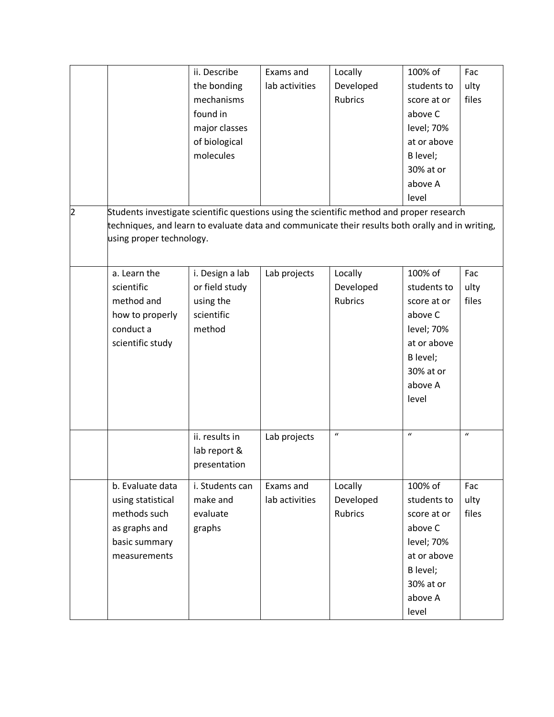|   |                                                                                                  | ii. Describe    | Exams and      | Locally          | 100% of      | Fac              |
|---|--------------------------------------------------------------------------------------------------|-----------------|----------------|------------------|--------------|------------------|
|   |                                                                                                  | the bonding     | lab activities | Developed        | students to  | ulty             |
|   |                                                                                                  | mechanisms      |                | Rubrics          | score at or  | files            |
|   |                                                                                                  | found in        |                |                  | above C      |                  |
|   |                                                                                                  | major classes   |                |                  | level; 70%   |                  |
|   |                                                                                                  | of biological   |                |                  | at or above  |                  |
|   |                                                                                                  | molecules       |                |                  | B level;     |                  |
|   |                                                                                                  |                 |                |                  | 30% at or    |                  |
|   |                                                                                                  |                 |                |                  | above A      |                  |
|   |                                                                                                  |                 |                |                  | level        |                  |
| 2 | Students investigate scientific questions using the scientific method and proper research        |                 |                |                  |              |                  |
|   | techniques, and learn to evaluate data and communicate their results both orally and in writing, |                 |                |                  |              |                  |
|   | using proper technology.                                                                         |                 |                |                  |              |                  |
|   |                                                                                                  |                 |                |                  |              |                  |
|   | a. Learn the                                                                                     | i. Design a lab | Lab projects   | Locally          | 100% of      | Fac              |
|   | scientific                                                                                       | or field study  |                | Developed        | students to  | ulty             |
|   | method and                                                                                       | using the       |                | <b>Rubrics</b>   | score at or  | files            |
|   | how to properly                                                                                  | scientific      |                |                  | above C      |                  |
|   | conduct a                                                                                        | method          |                |                  | level; 70%   |                  |
|   | scientific study                                                                                 |                 |                |                  | at or above  |                  |
|   |                                                                                                  |                 |                |                  | B level;     |                  |
|   |                                                                                                  |                 |                |                  | 30% at or    |                  |
|   |                                                                                                  |                 |                |                  | above A      |                  |
|   |                                                                                                  |                 |                |                  | level        |                  |
|   |                                                                                                  |                 |                |                  |              |                  |
|   |                                                                                                  |                 |                |                  |              |                  |
|   |                                                                                                  | ii. results in  | Lab projects   | $\boldsymbol{u}$ | $\mathbf{u}$ | $\boldsymbol{u}$ |
|   |                                                                                                  | lab report &    |                |                  |              |                  |
|   |                                                                                                  | presentation    |                |                  |              |                  |
|   | b. Evaluate data                                                                                 | i. Students can | Exams and      |                  | 100% of      |                  |
|   |                                                                                                  | make and        |                | Locally          |              | Fac              |
|   | using statistical                                                                                |                 | lab activities | Developed        | students to  | ulty             |
|   | methods such                                                                                     | evaluate        |                | Rubrics          | score at or  | files            |
|   | as graphs and                                                                                    | graphs          |                |                  | above C      |                  |
|   | basic summary                                                                                    |                 |                |                  | level; 70%   |                  |
|   | measurements                                                                                     |                 |                |                  | at or above  |                  |
|   |                                                                                                  |                 |                |                  | B level;     |                  |
|   |                                                                                                  |                 |                |                  | 30% at or    |                  |
|   |                                                                                                  |                 |                |                  | above A      |                  |
|   |                                                                                                  |                 |                |                  | level        |                  |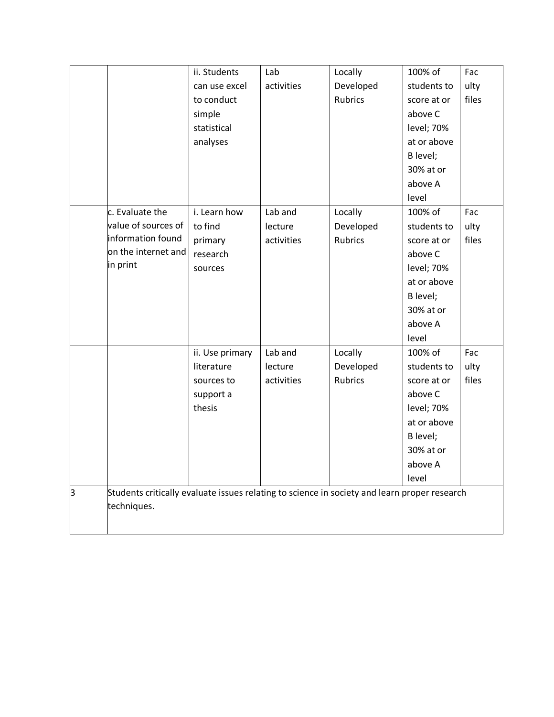|   |                                                                                              | ii. Students    | Lab        | Locally        | 100% of     | Fac   |
|---|----------------------------------------------------------------------------------------------|-----------------|------------|----------------|-------------|-------|
|   |                                                                                              | can use excel   | activities | Developed      | students to | ulty  |
|   |                                                                                              | to conduct      |            | <b>Rubrics</b> | score at or | files |
|   |                                                                                              | simple          |            |                | above C     |       |
|   |                                                                                              | statistical     |            |                | level; 70%  |       |
|   |                                                                                              | analyses        |            |                | at or above |       |
|   |                                                                                              |                 |            |                | B level;    |       |
|   |                                                                                              |                 |            |                | 30% at or   |       |
|   |                                                                                              |                 |            |                | above A     |       |
|   |                                                                                              |                 |            |                | level       |       |
|   | c. Evaluate the                                                                              | i. Learn how    | Lab and    | Locally        | 100% of     | Fac   |
|   | value of sources of                                                                          | to find         | lecture    | Developed      | students to | ulty  |
|   | information found                                                                            | primary         | activities | <b>Rubrics</b> | score at or | files |
|   | on the internet and                                                                          | research        |            |                | above C     |       |
|   | in print                                                                                     | sources         |            |                | level; 70%  |       |
|   |                                                                                              |                 |            |                | at or above |       |
|   |                                                                                              |                 |            |                | B level;    |       |
|   |                                                                                              |                 |            |                | 30% at or   |       |
|   |                                                                                              |                 |            |                | above A     |       |
|   |                                                                                              |                 |            |                | level       |       |
|   |                                                                                              | ii. Use primary | Lab and    | Locally        | 100% of     | Fac   |
|   |                                                                                              | literature      | lecture    | Developed      | students to | ulty  |
|   |                                                                                              | sources to      | activities | <b>Rubrics</b> | score at or | files |
|   |                                                                                              | support a       |            |                | above C     |       |
|   |                                                                                              | thesis          |            |                | level; 70%  |       |
|   |                                                                                              |                 |            |                | at or above |       |
|   |                                                                                              |                 |            |                | B level;    |       |
|   |                                                                                              |                 |            |                | 30% at or   |       |
|   |                                                                                              |                 |            |                | above A     |       |
|   |                                                                                              |                 |            |                | level       |       |
| з | Students critically evaluate issues relating to science in society and learn proper research |                 |            |                |             |       |
|   | techniques.                                                                                  |                 |            |                |             |       |
|   |                                                                                              |                 |            |                |             |       |
|   |                                                                                              |                 |            |                |             |       |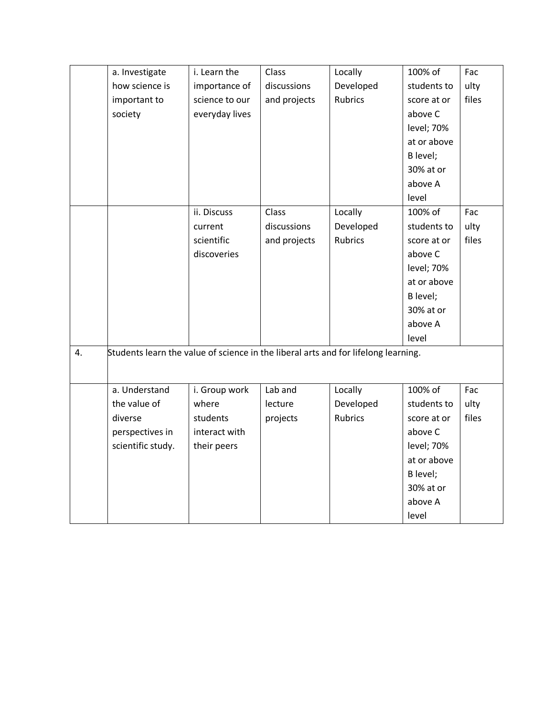|    | a. Investigate                                                                     | i. Learn the   | Class        | Locally        | 100% of     | Fac   |
|----|------------------------------------------------------------------------------------|----------------|--------------|----------------|-------------|-------|
|    | how science is                                                                     | importance of  | discussions  | Developed      | students to | ulty  |
|    | important to                                                                       | science to our | and projects | <b>Rubrics</b> | score at or | files |
|    | society                                                                            | everyday lives |              |                | above C     |       |
|    |                                                                                    |                |              |                | level; 70%  |       |
|    |                                                                                    |                |              |                | at or above |       |
|    |                                                                                    |                |              |                | B level;    |       |
|    |                                                                                    |                |              |                | 30% at or   |       |
|    |                                                                                    |                |              |                | above A     |       |
|    |                                                                                    |                |              |                | level       |       |
|    |                                                                                    | ii. Discuss    | Class        | Locally        | 100% of     | Fac   |
|    |                                                                                    | current        | discussions  | Developed      | students to | ulty  |
|    |                                                                                    | scientific     | and projects | <b>Rubrics</b> | score at or | files |
|    |                                                                                    | discoveries    |              |                | above C     |       |
|    |                                                                                    |                |              |                | level; 70%  |       |
|    |                                                                                    |                |              |                | at or above |       |
|    |                                                                                    |                |              |                | B level;    |       |
|    |                                                                                    |                |              |                | 30% at or   |       |
|    |                                                                                    |                |              |                | above A     |       |
|    |                                                                                    |                |              |                | level       |       |
| 4. | Students learn the value of science in the liberal arts and for lifelong learning. |                |              |                |             |       |
|    |                                                                                    |                |              |                |             |       |
|    |                                                                                    |                |              |                |             |       |
|    | a. Understand                                                                      | i. Group work  | Lab and      | Locally        | 100% of     | Fac   |
|    | the value of                                                                       | where          | lecture      | Developed      | students to | ulty  |
|    | diverse                                                                            | students       | projects     | <b>Rubrics</b> | score at or | files |
|    | perspectives in                                                                    | interact with  |              |                | above C     |       |
|    | scientific study.                                                                  | their peers    |              |                | level; 70%  |       |
|    |                                                                                    |                |              |                | at or above |       |
|    |                                                                                    |                |              |                | B level;    |       |
|    |                                                                                    |                |              |                | 30% at or   |       |
|    |                                                                                    |                |              |                | above A     |       |
|    |                                                                                    |                |              |                | level       |       |